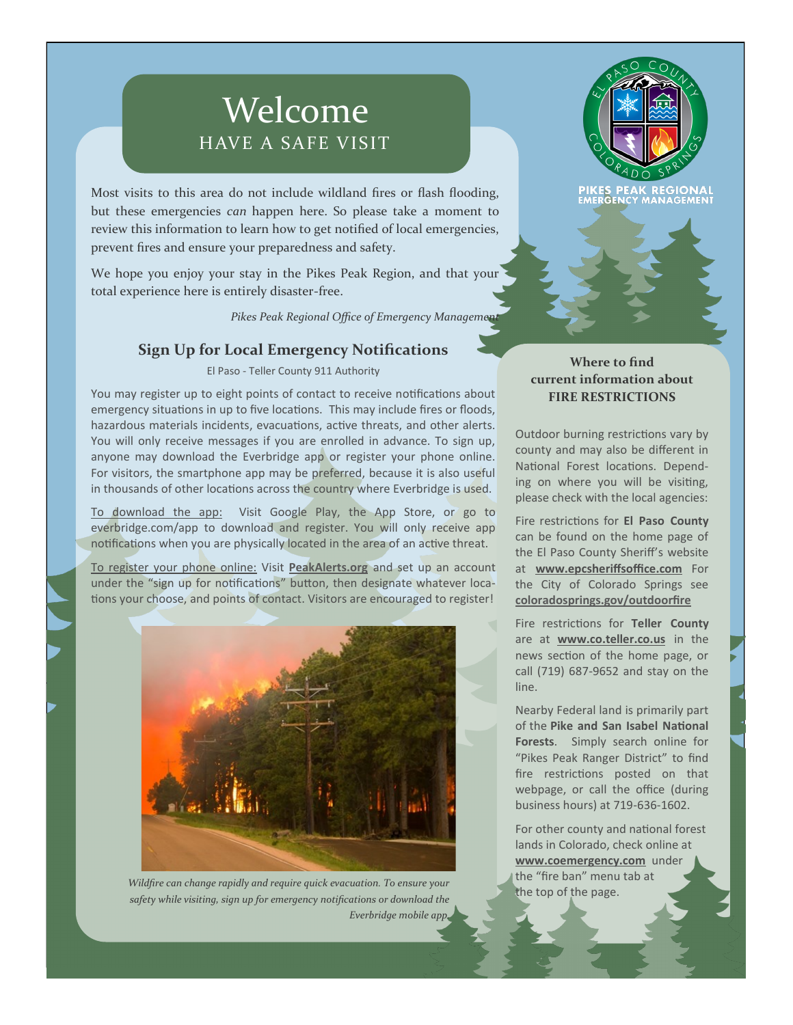# Welcome HAVE A SAFE VISIT

Most visits to this area do not include wildland fires or flash flooding, but these emergencies *can* happen here. So please take a moment to review this information to learn how to get notified of local emergencies, prevent fires and ensure your preparedness and safety.

We hope you enjoy your stay in the Pikes Peak Region, and that your total experience here is entirely disaster-free.

Pikes Peak Regional Office of Emergency Management

# **Sign Up for Local Emergency Notifications**

El Paso - Teller County 911 Authority

You may register up to eight points of contact to receive notifications about emergency situations in up to five locations. This may include fires or floods, hazardous materials incidents, evacuations, active threats, and other alerts. You will only receive messages if you are enrolled in advance. To sign up, anyone may download the Everbridge app or register your phone online. For visitors, the smartphone app may be preferred, because it is also useful in thousands of other locations across the country where Everbridge is used.

To download the app: Visit Google Play, the App Store, or go to everbridge.com/app to download and register. You will only receive app notifications when you are physically located in the area of an active threat.

To register your phone online: Visit **[PeakAlerts.org](http://peakalerts.org)** and set up an account under the "sign up for notifications" button, then designate whatever locations your choose, and points of contact. Visitors are encouraged to register!



*Wildfire can change rapidly and require quick evacuation. To ensure your safety while visiting, sign up for emergency notifications or download the Everbridge mobile app.*



**REGIO RGENCY MANAGEMENT** 

## **Where to find current information about FIRE RESTRICTIONS**

Outdoor burning restrictions vary by county and may also be different in National Forest locations. Depending on where you will be visiting, please check with the local agencies:

Fire restrictions for **El Paso County**  can be found on the home page of the El Paso County Sheriff's website at **www.epcsheriffsoffice.com** For the City of Colorado Springs see **[coloradosprings.gov/outdoorfire](http://coloradosprings.gov/outdoorfire)**

Fire restrictions for **Teller County**  are at **www.co.teller.co.us** in the news section of the home page, or call (719) 687-9652 and stay on the line.

Nearby Federal land is primarily part of the **Pike and San Isabel National Forests**. Simply search online for "Pikes Peak Ranger District" to find fire restrictions posted on that webpage, or call the office (during business hours) at 719-636-1602.

For other county and national forest lands in Colorado, check online at **www.coemergency.com** under the "fire ban" menu tab at the top of the page.